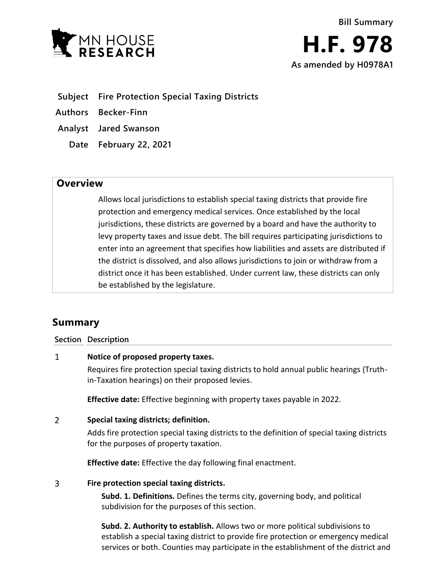

- **Subject Fire Protection Special Taxing Districts**
- **Authors Becker-Finn**
- **Analyst Jared Swanson**
	- **Date February 22, 2021**

## **Overview**

Allows local jurisdictions to establish special taxing districts that provide fire protection and emergency medical services. Once established by the local jurisdictions, these districts are governed by a board and have the authority to levy property taxes and issue debt. The bill requires participating jurisdictions to enter into an agreement that specifies how liabilities and assets are distributed if the district is dissolved, and also allows jurisdictions to join or withdraw from a district once it has been established. Under current law, these districts can only be established by the legislature.

# **Summary**

### **Section Description**

#### $\mathbf{1}$ **Notice of proposed property taxes.**

Requires fire protection special taxing districts to hold annual public hearings (Truthin-Taxation hearings) on their proposed levies.

**Effective date:** Effective beginning with property taxes payable in 2022.

#### $\overline{2}$ **Special taxing districts; definition.**

Adds fire protection special taxing districts to the definition of special taxing districts for the purposes of property taxation.

**Effective date:** Effective the day following final enactment.

#### 3 **Fire protection special taxing districts.**

**Subd. 1. Definitions.** Defines the terms city, governing body, and political subdivision for the purposes of this section.

**Subd. 2. Authority to establish.** Allows two or more political subdivisions to establish a special taxing district to provide fire protection or emergency medical services or both. Counties may participate in the establishment of the district and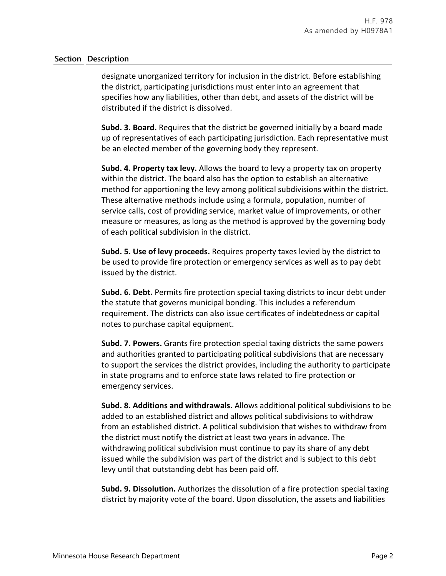### **Section Description**

designate unorganized territory for inclusion in the district. Before establishing the district, participating jurisdictions must enter into an agreement that specifies how any liabilities, other than debt, and assets of the district will be distributed if the district is dissolved.

**Subd. 3. Board.** Requires that the district be governed initially by a board made up of representatives of each participating jurisdiction. Each representative must be an elected member of the governing body they represent.

**Subd. 4. Property tax levy.** Allows the board to levy a property tax on property within the district. The board also has the option to establish an alternative method for apportioning the levy among political subdivisions within the district. These alternative methods include using a formula, population, number of service calls, cost of providing service, market value of improvements, or other measure or measures, as long as the method is approved by the governing body of each political subdivision in the district.

**Subd. 5. Use of levy proceeds.** Requires property taxes levied by the district to be used to provide fire protection or emergency services as well as to pay debt issued by the district.

**Subd. 6. Debt.** Permits fire protection special taxing districts to incur debt under the statute that governs municipal bonding. This includes a referendum requirement. The districts can also issue certificates of indebtedness or capital notes to purchase capital equipment.

**Subd. 7. Powers.** Grants fire protection special taxing districts the same powers and authorities granted to participating political subdivisions that are necessary to support the services the district provides, including the authority to participate in state programs and to enforce state laws related to fire protection or emergency services.

**Subd. 8. Additions and withdrawals.** Allows additional political subdivisions to be added to an established district and allows political subdivisions to withdraw from an established district. A political subdivision that wishes to withdraw from the district must notify the district at least two years in advance. The withdrawing political subdivision must continue to pay its share of any debt issued while the subdivision was part of the district and is subject to this debt levy until that outstanding debt has been paid off.

**Subd. 9. Dissolution.** Authorizes the dissolution of a fire protection special taxing district by majority vote of the board. Upon dissolution, the assets and liabilities